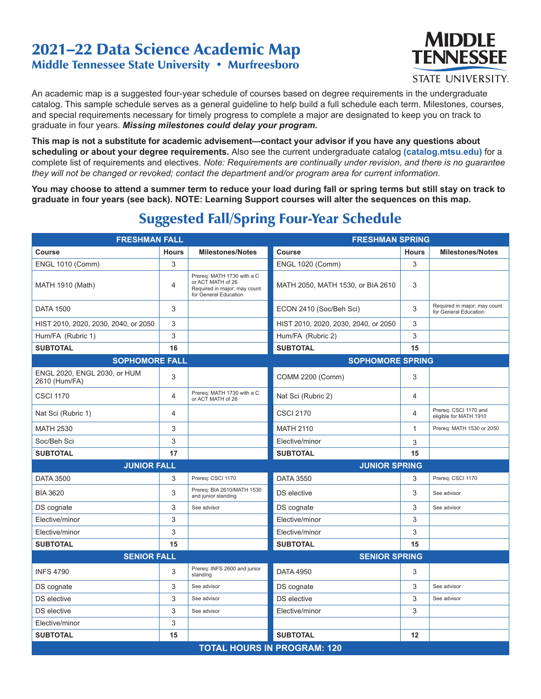## 2021–22 Data Science Academic Map Middle Tennessee State University • Murfreesboro



An academic map is a suggested four-year schedule of courses based on degree requirements in the undergraduate catalog. This sample schedule serves as a general guideline to help build a full schedule each term. Milestones, courses, and special requirements necessary for timely progress to complete a major are designated to keep you on track to graduate in four years. *Missing milestones could delay your program.*

**This map is not a substitute for academic advisement—contact your advisor if you have any questions about scheduling or about your degree requirements.** Also see the current undergraduate catalog **(catalog.mtsu.edu)** for a complete list of requirements and electives. *Note: Requirements are continually under revision, and there is no guarantee they will not be changed or revoked; contact the department and/or program area for current information.*

**You may choose to attend a summer term to reduce your load during fall or spring terms but still stay on track to graduate in four years (see back). NOTE: Learning Support courses will alter the sequences on this map.**

| <b>FRESHMAN FALL</b>                          |              |                                                                                                          | <b>FRESHMAN SPRING</b>               |              |                                                       |  |
|-----------------------------------------------|--------------|----------------------------------------------------------------------------------------------------------|--------------------------------------|--------------|-------------------------------------------------------|--|
| Course                                        | <b>Hours</b> | <b>Milestones/Notes</b>                                                                                  | Course                               | <b>Hours</b> | <b>Milestones/Notes</b>                               |  |
| <b>ENGL 1010 (Comm)</b>                       | 3            |                                                                                                          | <b>ENGL 1020 (Comm)</b>              | 3            |                                                       |  |
| <b>MATH 1910 (Math)</b>                       | 4            | Prereq: MATH 1730 with a C<br>or ACT MATH of 26<br>Required in major; may count<br>for General Education | MATH 2050, MATH 1530, or BIA 2610    | 3            |                                                       |  |
| <b>DATA 1500</b>                              | 3            |                                                                                                          | ECON 2410 (Soc/Beh Sci)              | 3            | Required in major; may count<br>for General Education |  |
| HIST 2010, 2020, 2030, 2040, or 2050          | 3            |                                                                                                          | HIST 2010, 2020, 2030, 2040, or 2050 | 3            |                                                       |  |
| Hum/FA (Rubric 1)                             | 3            |                                                                                                          | Hum/FA (Rubric 2)                    | 3            |                                                       |  |
| <b>SUBTOTAL</b>                               | 16           |                                                                                                          | <b>SUBTOTAL</b>                      | 15           |                                                       |  |
| <b>SOPHOMORE FALL</b>                         |              |                                                                                                          | <b>SOPHOMORE SPRING</b>              |              |                                                       |  |
| ENGL 2020, ENGL 2030, or HUM<br>2610 (Hum/FA) | 3            |                                                                                                          | COMM 2200 (Comm)                     | 3            |                                                       |  |
| <b>CSCI 1170</b>                              | 4            | Prereq: MATH 1730 with a C<br>or ACT MATH of 26                                                          | Nat Sci (Rubric 2)                   | 4            |                                                       |  |
| Nat Sci (Rubric 1)                            | 4            |                                                                                                          | <b>CSCI 2170</b>                     | 4            | Prereg: CSCI 1170 and<br>eligible for MATH 1910       |  |
| <b>MATH 2530</b>                              | 3            |                                                                                                          | <b>MATH 2110</b>                     | $\mathbf{1}$ | Prereq: MATH 1530 or 2050                             |  |
| Soc/Beh Sci                                   | 3            |                                                                                                          | Elective/minor                       | 3            |                                                       |  |
| <b>SUBTOTAL</b>                               | 17           |                                                                                                          | <b>SUBTOTAL</b>                      | 15           |                                                       |  |
| <b>JUNIOR FALL</b>                            |              |                                                                                                          | <b>JUNIOR SPRING</b>                 |              |                                                       |  |
| <b>DATA 3500</b>                              | 3            | Prereq: CSCI 1170                                                                                        | <b>DATA 3550</b>                     | 3            | Prereq: CSCI 1170                                     |  |
| <b>BIA 3620</b>                               | 3            | Prereq: BIA 2610/MATH 1530<br>and junior standing                                                        | DS elective                          | 3            | See advisor                                           |  |
| DS cognate                                    | 3            | See advisor                                                                                              | DS cognate                           | 3            | See advisor                                           |  |
| Elective/minor                                | 3            |                                                                                                          | Elective/minor                       | 3            |                                                       |  |
| Elective/minor                                | 3            |                                                                                                          | Elective/minor                       | 3            |                                                       |  |
| <b>SUBTOTAL</b>                               | 15           |                                                                                                          | <b>SUBTOTAL</b>                      | 15           |                                                       |  |
| <b>SENIOR FALL</b>                            |              |                                                                                                          | <b>SENIOR SPRING</b>                 |              |                                                       |  |
| <b>INFS 4790</b>                              | 3            | Prereq: INFS 2600 and junior<br>standing                                                                 | <b>DATA 4950</b>                     | 3            |                                                       |  |
| DS cognate                                    | 3            | See advisor                                                                                              | DS cognate                           | 3            | See advisor                                           |  |
| DS elective                                   | 3            | See advisor                                                                                              | DS elective                          | 3            | See advisor                                           |  |
| <b>DS</b> elective                            | 3            | See advisor                                                                                              | Elective/minor                       | 3            |                                                       |  |
| Elective/minor                                | 3            |                                                                                                          |                                      |              |                                                       |  |
| <b>SUBTOTAL</b>                               | 15           |                                                                                                          | <b>SUBTOTAL</b>                      | 12           |                                                       |  |
| <b>TOTAL HOURS IN PROGRAM: 120</b>            |              |                                                                                                          |                                      |              |                                                       |  |

## Suggested Fall/Spring Four-Year Schedule